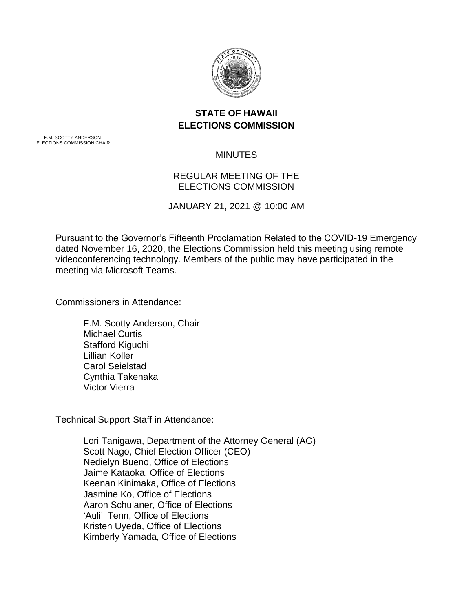

## **STATE OF HAWAII ELECTIONS COMMISSION**

F.M. SCOTTY ANDERSON ELECTIONS COMMISSION CHAIR

## MINUTES

## REGULAR MEETING OF THE ELECTIONS COMMISSION

JANUARY 21, 2021 @ 10:00 AM

Pursuant to the Governor's Fifteenth Proclamation Related to the COVID-19 Emergency dated November 16, 2020, the Elections Commission held this meeting using remote videoconferencing technology. Members of the public may have participated in the meeting via Microsoft Teams.

Commissioners in Attendance:

F.M. Scotty Anderson, Chair Michael Curtis Stafford Kiguchi Lillian Koller Carol Seielstad Cynthia Takenaka Victor Vierra

Technical Support Staff in Attendance:

Lori Tanigawa, Department of the Attorney General (AG) Scott Nago, Chief Election Officer (CEO) Nedielyn Bueno, Office of Elections Jaime Kataoka, Office of Elections Keenan Kinimaka, Office of Elections Jasmine Ko, Office of Elections Aaron Schulaner, Office of Elections 'Auli'i Tenn, Office of Elections Kristen Uyeda, Office of Elections Kimberly Yamada, Office of Elections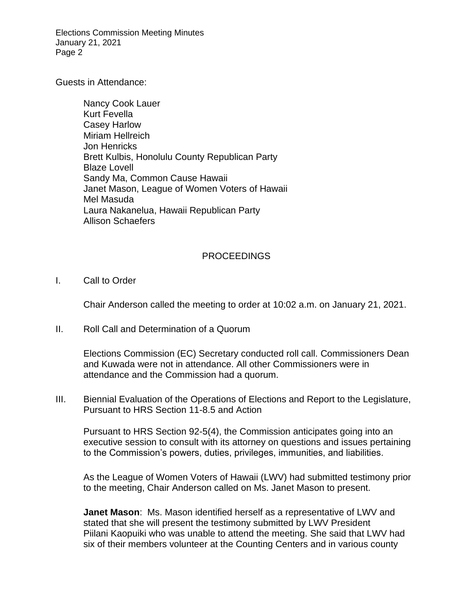Elections Commission Meeting Minutes January 21, 2021 Page 2

Guests in Attendance:

Nancy Cook Lauer Kurt Fevella Casey Harlow Miriam Hellreich Jon Henricks Brett Kulbis, Honolulu County Republican Party Blaze Lovell Sandy Ma, Common Cause Hawaii Janet Mason, League of Women Voters of Hawaii Mel Masuda Laura Nakanelua, Hawaii Republican Party Allison Schaefers

## PROCEEDINGS

I. Call to Order

Chair Anderson called the meeting to order at 10:02 a.m. on January 21, 2021.

II. Roll Call and Determination of a Quorum

Elections Commission (EC) Secretary conducted roll call. Commissioners Dean and Kuwada were not in attendance. All other Commissioners were in attendance and the Commission had a quorum.

III. Biennial Evaluation of the Operations of Elections and Report to the Legislature, Pursuant to HRS Section 11-8.5 and Action

Pursuant to HRS Section 92-5(4), the Commission anticipates going into an executive session to consult with its attorney on questions and issues pertaining to the Commission's powers, duties, privileges, immunities, and liabilities.

As the League of Women Voters of Hawaii (LWV) had submitted testimony prior to the meeting, Chair Anderson called on Ms. Janet Mason to present.

**Janet Mason**: Ms. Mason identified herself as a representative of LWV and stated that she will present the testimony submitted by LWV President Piilani Kaopuiki who was unable to attend the meeting. She said that LWV had six of their members volunteer at the Counting Centers and in various county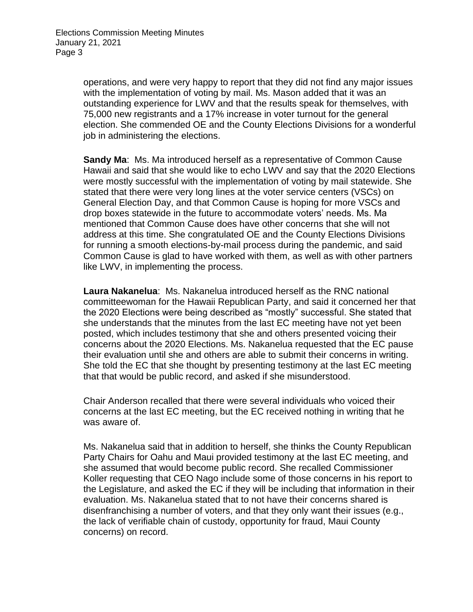operations, and were very happy to report that they did not find any major issues with the implementation of voting by mail. Ms. Mason added that it was an outstanding experience for LWV and that the results speak for themselves, with 75,000 new registrants and a 17% increase in voter turnout for the general election. She commended OE and the County Elections Divisions for a wonderful job in administering the elections.

**Sandy Ma**: Ms. Ma introduced herself as a representative of Common Cause Hawaii and said that she would like to echo LWV and say that the 2020 Elections were mostly successful with the implementation of voting by mail statewide. She stated that there were very long lines at the voter service centers (VSCs) on General Election Day, and that Common Cause is hoping for more VSCs and drop boxes statewide in the future to accommodate voters' needs. Ms. Ma mentioned that Common Cause does have other concerns that she will not address at this time. She congratulated OE and the County Elections Divisions for running a smooth elections-by-mail process during the pandemic, and said Common Cause is glad to have worked with them, as well as with other partners like LWV, in implementing the process.

**Laura Nakanelua**: Ms. Nakanelua introduced herself as the RNC national committeewoman for the Hawaii Republican Party, and said it concerned her that the 2020 Elections were being described as "mostly" successful. She stated that she understands that the minutes from the last EC meeting have not yet been posted, which includes testimony that she and others presented voicing their concerns about the 2020 Elections. Ms. Nakanelua requested that the EC pause their evaluation until she and others are able to submit their concerns in writing. She told the EC that she thought by presenting testimony at the last EC meeting that that would be public record, and asked if she misunderstood.

Chair Anderson recalled that there were several individuals who voiced their concerns at the last EC meeting, but the EC received nothing in writing that he was aware of.

Ms. Nakanelua said that in addition to herself, she thinks the County Republican Party Chairs for Oahu and Maui provided testimony at the last EC meeting, and she assumed that would become public record. She recalled Commissioner Koller requesting that CEO Nago include some of those concerns in his report to the Legislature, and asked the EC if they will be including that information in their evaluation. Ms. Nakanelua stated that to not have their concerns shared is disenfranchising a number of voters, and that they only want their issues (e.g., the lack of verifiable chain of custody, opportunity for fraud, Maui County concerns) on record.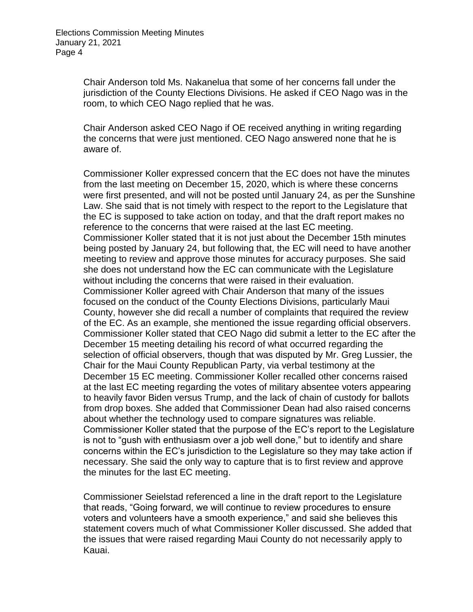Chair Anderson told Ms. Nakanelua that some of her concerns fall under the jurisdiction of the County Elections Divisions. He asked if CEO Nago was in the room, to which CEO Nago replied that he was.

Chair Anderson asked CEO Nago if OE received anything in writing regarding the concerns that were just mentioned. CEO Nago answered none that he is aware of.

Commissioner Koller expressed concern that the EC does not have the minutes from the last meeting on December 15, 2020, which is where these concerns were first presented, and will not be posted until January 24, as per the Sunshine Law. She said that is not timely with respect to the report to the Legislature that the EC is supposed to take action on today, and that the draft report makes no reference to the concerns that were raised at the last EC meeting. Commissioner Koller stated that it is not just about the December 15th minutes being posted by January 24, but following that, the EC will need to have another meeting to review and approve those minutes for accuracy purposes. She said she does not understand how the EC can communicate with the Legislature without including the concerns that were raised in their evaluation. Commissioner Koller agreed with Chair Anderson that many of the issues focused on the conduct of the County Elections Divisions, particularly Maui County, however she did recall a number of complaints that required the review of the EC. As an example, she mentioned the issue regarding official observers. Commissioner Koller stated that CEO Nago did submit a letter to the EC after the December 15 meeting detailing his record of what occurred regarding the selection of official observers, though that was disputed by Mr. Greg Lussier, the Chair for the Maui County Republican Party, via verbal testimony at the December 15 EC meeting. Commissioner Koller recalled other concerns raised at the last EC meeting regarding the votes of military absentee voters appearing to heavily favor Biden versus Trump, and the lack of chain of custody for ballots from drop boxes. She added that Commissioner Dean had also raised concerns about whether the technology used to compare signatures was reliable. Commissioner Koller stated that the purpose of the EC's report to the Legislature is not to "gush with enthusiasm over a job well done," but to identify and share concerns within the EC's jurisdiction to the Legislature so they may take action if necessary. She said the only way to capture that is to first review and approve the minutes for the last EC meeting.

Commissioner Seielstad referenced a line in the draft report to the Legislature that reads, "Going forward, we will continue to review procedures to ensure voters and volunteers have a smooth experience," and said she believes this statement covers much of what Commissioner Koller discussed. She added that the issues that were raised regarding Maui County do not necessarily apply to Kauai.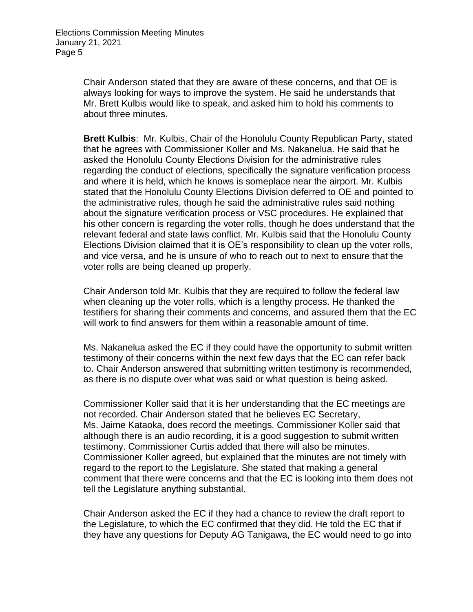Chair Anderson stated that they are aware of these concerns, and that OE is always looking for ways to improve the system. He said he understands that Mr. Brett Kulbis would like to speak, and asked him to hold his comments to about three minutes.

**Brett Kulbis**: Mr. Kulbis, Chair of the Honolulu County Republican Party, stated that he agrees with Commissioner Koller and Ms. Nakanelua. He said that he asked the Honolulu County Elections Division for the administrative rules regarding the conduct of elections, specifically the signature verification process and where it is held, which he knows is someplace near the airport. Mr. Kulbis stated that the Honolulu County Elections Division deferred to OE and pointed to the administrative rules, though he said the administrative rules said nothing about the signature verification process or VSC procedures. He explained that his other concern is regarding the voter rolls, though he does understand that the relevant federal and state laws conflict. Mr. Kulbis said that the Honolulu County Elections Division claimed that it is OE's responsibility to clean up the voter rolls, and vice versa, and he is unsure of who to reach out to next to ensure that the voter rolls are being cleaned up properly.

Chair Anderson told Mr. Kulbis that they are required to follow the federal law when cleaning up the voter rolls, which is a lengthy process. He thanked the testifiers for sharing their comments and concerns, and assured them that the EC will work to find answers for them within a reasonable amount of time.

Ms. Nakanelua asked the EC if they could have the opportunity to submit written testimony of their concerns within the next few days that the EC can refer back to. Chair Anderson answered that submitting written testimony is recommended, as there is no dispute over what was said or what question is being asked.

Commissioner Koller said that it is her understanding that the EC meetings are not recorded. Chair Anderson stated that he believes EC Secretary, Ms. Jaime Kataoka, does record the meetings. Commissioner Koller said that although there is an audio recording, it is a good suggestion to submit written testimony. Commissioner Curtis added that there will also be minutes. Commissioner Koller agreed, but explained that the minutes are not timely with regard to the report to the Legislature. She stated that making a general comment that there were concerns and that the EC is looking into them does not tell the Legislature anything substantial.

Chair Anderson asked the EC if they had a chance to review the draft report to the Legislature, to which the EC confirmed that they did. He told the EC that if they have any questions for Deputy AG Tanigawa, the EC would need to go into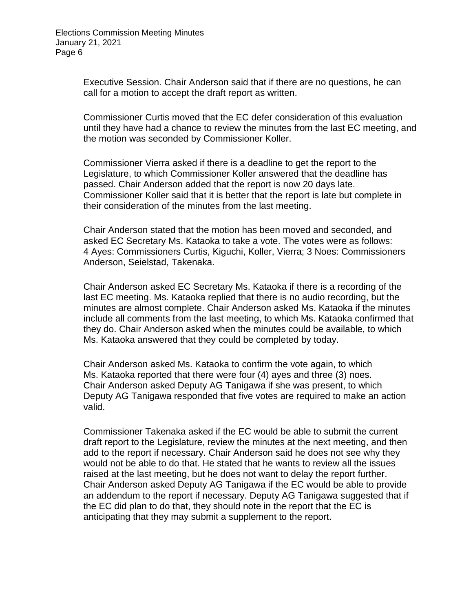Executive Session. Chair Anderson said that if there are no questions, he can call for a motion to accept the draft report as written.

Commissioner Curtis moved that the EC defer consideration of this evaluation until they have had a chance to review the minutes from the last EC meeting, and the motion was seconded by Commissioner Koller.

Commissioner Vierra asked if there is a deadline to get the report to the Legislature, to which Commissioner Koller answered that the deadline has passed. Chair Anderson added that the report is now 20 days late. Commissioner Koller said that it is better that the report is late but complete in their consideration of the minutes from the last meeting.

Chair Anderson stated that the motion has been moved and seconded, and asked EC Secretary Ms. Kataoka to take a vote. The votes were as follows: 4 Ayes: Commissioners Curtis, Kiguchi, Koller, Vierra; 3 Noes: Commissioners Anderson, Seielstad, Takenaka.

Chair Anderson asked EC Secretary Ms. Kataoka if there is a recording of the last EC meeting. Ms. Kataoka replied that there is no audio recording, but the minutes are almost complete. Chair Anderson asked Ms. Kataoka if the minutes include all comments from the last meeting, to which Ms. Kataoka confirmed that they do. Chair Anderson asked when the minutes could be available, to which Ms. Kataoka answered that they could be completed by today.

Chair Anderson asked Ms. Kataoka to confirm the vote again, to which Ms. Kataoka reported that there were four (4) ayes and three (3) noes. Chair Anderson asked Deputy AG Tanigawa if she was present, to which Deputy AG Tanigawa responded that five votes are required to make an action valid.

Commissioner Takenaka asked if the EC would be able to submit the current draft report to the Legislature, review the minutes at the next meeting, and then add to the report if necessary. Chair Anderson said he does not see why they would not be able to do that. He stated that he wants to review all the issues raised at the last meeting, but he does not want to delay the report further. Chair Anderson asked Deputy AG Tanigawa if the EC would be able to provide an addendum to the report if necessary. Deputy AG Tanigawa suggested that if the EC did plan to do that, they should note in the report that the EC is anticipating that they may submit a supplement to the report.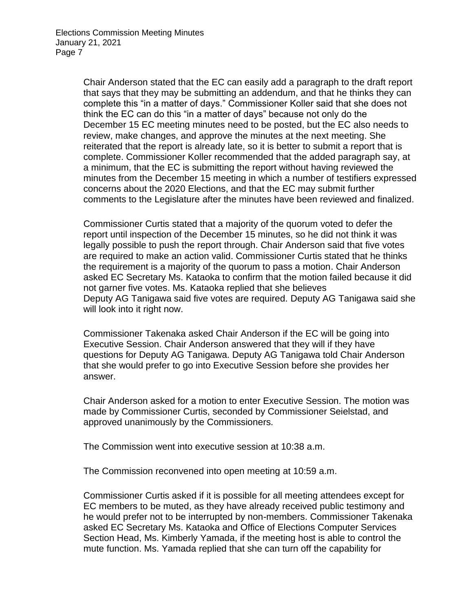Chair Anderson stated that the EC can easily add a paragraph to the draft report that says that they may be submitting an addendum, and that he thinks they can complete this "in a matter of days." Commissioner Koller said that she does not think the EC can do this "in a matter of days" because not only do the December 15 EC meeting minutes need to be posted, but the EC also needs to review, make changes, and approve the minutes at the next meeting. She reiterated that the report is already late, so it is better to submit a report that is complete. Commissioner Koller recommended that the added paragraph say, at a minimum, that the EC is submitting the report without having reviewed the minutes from the December 15 meeting in which a number of testifiers expressed concerns about the 2020 Elections, and that the EC may submit further comments to the Legislature after the minutes have been reviewed and finalized.

Commissioner Curtis stated that a majority of the quorum voted to defer the report until inspection of the December 15 minutes, so he did not think it was legally possible to push the report through. Chair Anderson said that five votes are required to make an action valid. Commissioner Curtis stated that he thinks the requirement is a majority of the quorum to pass a motion. Chair Anderson asked EC Secretary Ms. Kataoka to confirm that the motion failed because it did not garner five votes. Ms. Kataoka replied that she believes Deputy AG Tanigawa said five votes are required. Deputy AG Tanigawa said she will look into it right now.

Commissioner Takenaka asked Chair Anderson if the EC will be going into Executive Session. Chair Anderson answered that they will if they have questions for Deputy AG Tanigawa. Deputy AG Tanigawa told Chair Anderson that she would prefer to go into Executive Session before she provides her answer.

Chair Anderson asked for a motion to enter Executive Session. The motion was made by Commissioner Curtis, seconded by Commissioner Seielstad, and approved unanimously by the Commissioners.

The Commission went into executive session at 10:38 a.m.

The Commission reconvened into open meeting at 10:59 a.m.

Commissioner Curtis asked if it is possible for all meeting attendees except for EC members to be muted, as they have already received public testimony and he would prefer not to be interrupted by non-members. Commissioner Takenaka asked EC Secretary Ms. Kataoka and Office of Elections Computer Services Section Head, Ms. Kimberly Yamada, if the meeting host is able to control the mute function. Ms. Yamada replied that she can turn off the capability for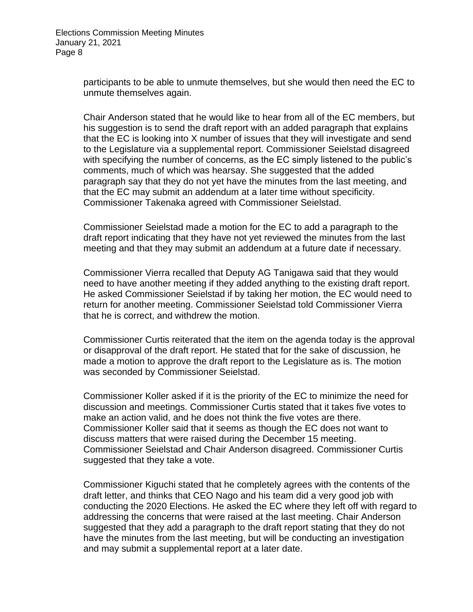participants to be able to unmute themselves, but she would then need the EC to unmute themselves again.

Chair Anderson stated that he would like to hear from all of the EC members, but his suggestion is to send the draft report with an added paragraph that explains that the EC is looking into X number of issues that they will investigate and send to the Legislature via a supplemental report. Commissioner Seielstad disagreed with specifying the number of concerns, as the EC simply listened to the public's comments, much of which was hearsay. She suggested that the added paragraph say that they do not yet have the minutes from the last meeting, and that the EC may submit an addendum at a later time without specificity. Commissioner Takenaka agreed with Commissioner Seielstad.

Commissioner Seielstad made a motion for the EC to add a paragraph to the draft report indicating that they have not yet reviewed the minutes from the last meeting and that they may submit an addendum at a future date if necessary.

Commissioner Vierra recalled that Deputy AG Tanigawa said that they would need to have another meeting if they added anything to the existing draft report. He asked Commissioner Seielstad if by taking her motion, the EC would need to return for another meeting. Commissioner Seielstad told Commissioner Vierra that he is correct, and withdrew the motion.

Commissioner Curtis reiterated that the item on the agenda today is the approval or disapproval of the draft report. He stated that for the sake of discussion, he made a motion to approve the draft report to the Legislature as is. The motion was seconded by Commissioner Seielstad.

Commissioner Koller asked if it is the priority of the EC to minimize the need for discussion and meetings. Commissioner Curtis stated that it takes five votes to make an action valid, and he does not think the five votes are there. Commissioner Koller said that it seems as though the EC does not want to discuss matters that were raised during the December 15 meeting. Commissioner Seielstad and Chair Anderson disagreed. Commissioner Curtis suggested that they take a vote.

Commissioner Kiguchi stated that he completely agrees with the contents of the draft letter, and thinks that CEO Nago and his team did a very good job with conducting the 2020 Elections. He asked the EC where they left off with regard to addressing the concerns that were raised at the last meeting. Chair Anderson suggested that they add a paragraph to the draft report stating that they do not have the minutes from the last meeting, but will be conducting an investigation and may submit a supplemental report at a later date.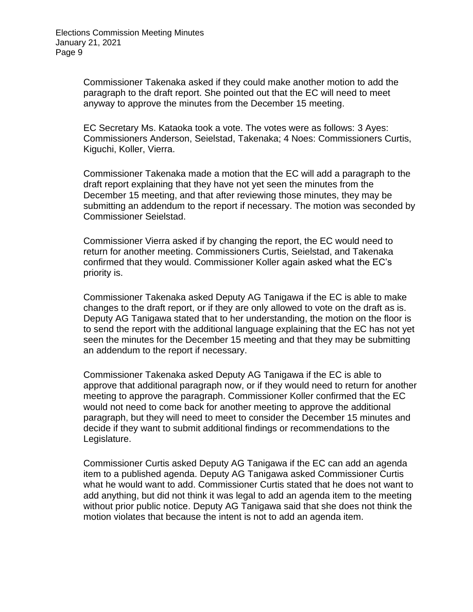Commissioner Takenaka asked if they could make another motion to add the paragraph to the draft report. She pointed out that the EC will need to meet anyway to approve the minutes from the December 15 meeting.

EC Secretary Ms. Kataoka took a vote. The votes were as follows: 3 Ayes: Commissioners Anderson, Seielstad, Takenaka; 4 Noes: Commissioners Curtis, Kiguchi, Koller, Vierra.

Commissioner Takenaka made a motion that the EC will add a paragraph to the draft report explaining that they have not yet seen the minutes from the December 15 meeting, and that after reviewing those minutes, they may be submitting an addendum to the report if necessary. The motion was seconded by Commissioner Seielstad.

Commissioner Vierra asked if by changing the report, the EC would need to return for another meeting. Commissioners Curtis, Seielstad, and Takenaka confirmed that they would. Commissioner Koller again asked what the EC's priority is.

Commissioner Takenaka asked Deputy AG Tanigawa if the EC is able to make changes to the draft report, or if they are only allowed to vote on the draft as is. Deputy AG Tanigawa stated that to her understanding, the motion on the floor is to send the report with the additional language explaining that the EC has not yet seen the minutes for the December 15 meeting and that they may be submitting an addendum to the report if necessary.

Commissioner Takenaka asked Deputy AG Tanigawa if the EC is able to approve that additional paragraph now, or if they would need to return for another meeting to approve the paragraph. Commissioner Koller confirmed that the EC would not need to come back for another meeting to approve the additional paragraph, but they will need to meet to consider the December 15 minutes and decide if they want to submit additional findings or recommendations to the Legislature.

Commissioner Curtis asked Deputy AG Tanigawa if the EC can add an agenda item to a published agenda. Deputy AG Tanigawa asked Commissioner Curtis what he would want to add. Commissioner Curtis stated that he does not want to add anything, but did not think it was legal to add an agenda item to the meeting without prior public notice. Deputy AG Tanigawa said that she does not think the motion violates that because the intent is not to add an agenda item.